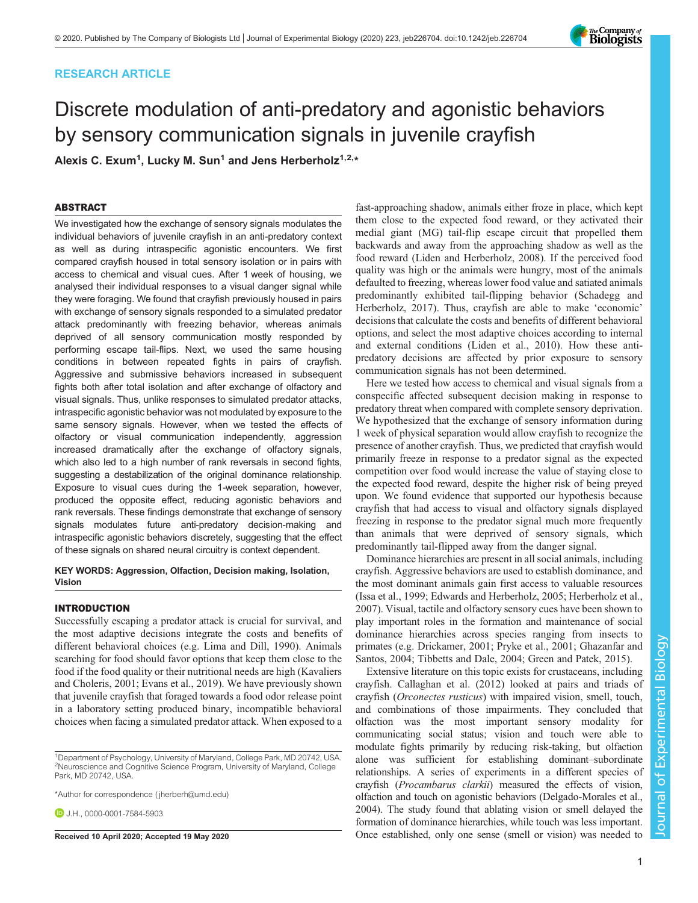## RESEARCH ARTICLE

# Discrete modulation of anti-predatory and agonistic behaviors by sensory communication signals in juvenile crayfish

Alexis C. Exum<sup>1</sup>, Lucky M. Sun<sup>1</sup> and Jens Herberholz<sup>1,2,</sup>\*

## ABSTRACT

We investigated how the exchange of sensory signals modulates the individual behaviors of juvenile crayfish in an anti-predatory context as well as during intraspecific agonistic encounters. We first compared crayfish housed in total sensory isolation or in pairs with access to chemical and visual cues. After 1 week of housing, we analysed their individual responses to a visual danger signal while they were foraging. We found that crayfish previously housed in pairs with exchange of sensory signals responded to a simulated predator attack predominantly with freezing behavior, whereas animals deprived of all sensory communication mostly responded by performing escape tail-flips. Next, we used the same housing conditions in between repeated fights in pairs of crayfish. Aggressive and submissive behaviors increased in subsequent fights both after total isolation and after exchange of olfactory and visual signals. Thus, unlike responses to simulated predator attacks, intraspecific agonistic behavior was not modulated by exposure to the same sensory signals. However, when we tested the effects of olfactory or visual communication independently, aggression increased dramatically after the exchange of olfactory signals, which also led to a high number of rank reversals in second fights, suggesting a destabilization of the original dominance relationship. Exposure to visual cues during the 1-week separation, however, produced the opposite effect, reducing agonistic behaviors and rank reversals. These findings demonstrate that exchange of sensory signals modulates future anti-predatory decision-making and intraspecific agonistic behaviors discretely, suggesting that the effect of these signals on shared neural circuitry is context dependent.

## KEY WORDS: Aggression, Olfaction, Decision making, Isolation, Vision

### INTRODUCTION

Successfully escaping a predator attack is crucial for survival, and the most adaptive decisions integrate the costs and benefits of different behavioral choices (e.g. [Lima and Dill, 1990\)](#page-9-0). Animals searching for food should favor options that keep them close to the food if the food quality or their nutritional needs are high [\(Kavaliers](#page-9-0) [and Choleris, 2001;](#page-9-0) [Evans et al., 2019](#page-8-0)). We have previously shown that juvenile crayfish that foraged towards a food odor release point in a laboratory setting produced binary, incompatible behavioral choices when facing a simulated predator attack. When exposed to a

<sup>1</sup>Department of Psychology, University of Maryland, College Park, MD 20742, USA. 2 Neuroscience and Cognitive Science Program, University of Maryland, College Park, MD 20742, USA.

\*Author for correspondence [\( jherberh@umd.edu\)](mailto:jherberh@umd.edu)

**D.** J.H., [0000-0001-7584-5903](http://orcid.org/0000-0001-7584-5903)

fast-approaching shadow, animals either froze in place, which kept them close to the expected food reward, or they activated their medial giant (MG) tail-flip escape circuit that propelled them backwards and away from the approaching shadow as well as the food reward ([Liden and Herberholz, 2008\)](#page-9-0). If the perceived food quality was high or the animals were hungry, most of the animals defaulted to freezing, whereas lower food value and satiated animals predominantly exhibited tail-flipping behavior [\(Schadegg and](#page-9-0) [Herberholz, 2017](#page-9-0)). Thus, crayfish are able to make 'economic' decisions that calculate the costs and benefits of different behavioral options, and select the most adaptive choices according to internal and external conditions ([Liden et al., 2010](#page-9-0)). How these antipredatory decisions are affected by prior exposure to sensory communication signals has not been determined.

Here we tested how access to chemical and visual signals from a conspecific affected subsequent decision making in response to predatory threat when compared with complete sensory deprivation. We hypothesized that the exchange of sensory information during 1 week of physical separation would allow crayfish to recognize the presence of another crayfish. Thus, we predicted that crayfish would primarily freeze in response to a predator signal as the expected competition over food would increase the value of staying close to the expected food reward, despite the higher risk of being preyed upon. We found evidence that supported our hypothesis because crayfish that had access to visual and olfactory signals displayed freezing in response to the predator signal much more frequently than animals that were deprived of sensory signals, which predominantly tail-flipped away from the danger signal.

Dominance hierarchies are present in all social animals, including crayfish. Aggressive behaviors are used to establish dominance, and the most dominant animals gain first access to valuable resources [\(Issa et al., 1999](#page-9-0); [Edwards and Herberholz, 2005;](#page-8-0) [Herberholz et al.,](#page-9-0) [2007\)](#page-9-0). Visual, tactile and olfactory sensory cues have been shown to play important roles in the formation and maintenance of social dominance hierarchies across species ranging from insects to primates (e.g. [Drickamer, 2001;](#page-8-0) [Pryke et al., 2001](#page-9-0); [Ghazanfar and](#page-8-0) [Santos, 2004](#page-8-0); [Tibbetts and Dale, 2004](#page-9-0); [Green and Patek, 2015\)](#page-8-0).

Extensive literature on this topic exists for crustaceans, including crayfish. [Callaghan et al. \(2012\)](#page-8-0) looked at pairs and triads of crayfish (Orconectes rusticus) with impaired vision, smell, touch, and combinations of those impairments. They concluded that olfaction was the most important sensory modality for communicating social status; vision and touch were able to modulate fights primarily by reducing risk-taking, but olfaction alone was sufficient for establishing dominant–subordinate relationships. A series of experiments in a different species of crayfish (Procambarus clarkii) measured the effects of vision, olfaction and touch on agonistic behaviors [\(Delgado-Morales et al.,](#page-8-0) [2004\)](#page-8-0). The study found that ablating vision or smell delayed the formation of dominance hierarchies, while touch was less important. Received 10 April 2020; Accepted 19 May 2020 Once established, only one sense (smell or vision) was needed to

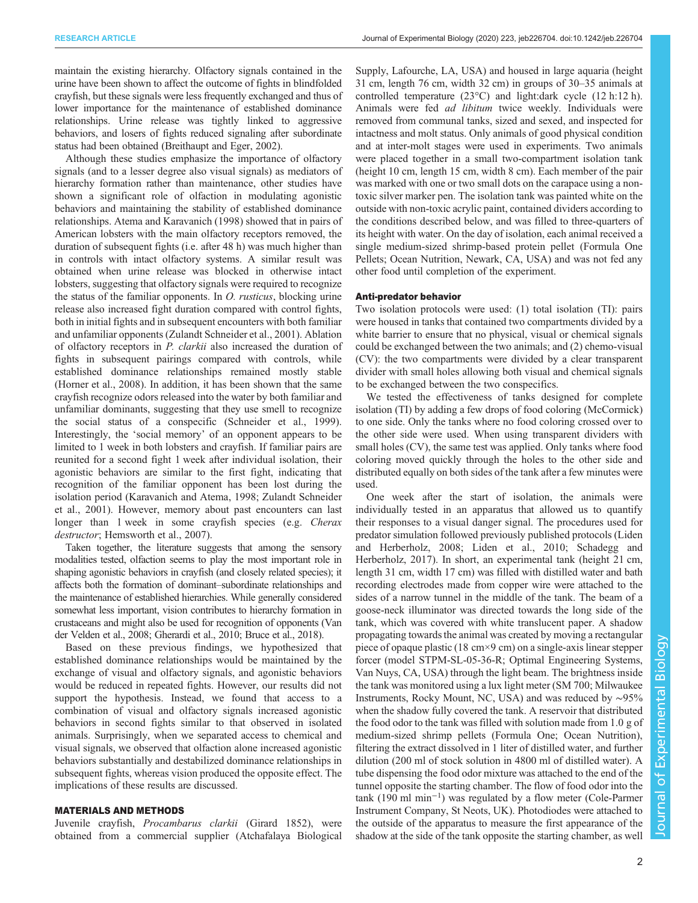maintain the existing hierarchy. Olfactory signals contained in the urine have been shown to affect the outcome of fights in blindfolded crayfish, but these signals were less frequently exchanged and thus of lower importance for the maintenance of established dominance relationships. Urine release was tightly linked to aggressive behaviors, and losers of fights reduced signaling after subordinate status had been obtained ([Breithaupt and Eger, 2002\)](#page-8-0).

Although these studies emphasize the importance of olfactory signals (and to a lesser degree also visual signals) as mediators of hierarchy formation rather than maintenance, other studies have shown a significant role of olfaction in modulating agonistic behaviors and maintaining the stability of established dominance relationships. [Atema and Karavanich \(1998\)](#page-8-0) showed that in pairs of American lobsters with the main olfactory receptors removed, the duration of subsequent fights (i.e. after 48 h) was much higher than in controls with intact olfactory systems. A similar result was obtained when urine release was blocked in otherwise intact lobsters, suggesting that olfactory signals were required to recognize the status of the familiar opponents. In O. rusticus, blocking urine release also increased fight duration compared with control fights, both in initial fights and in subsequent encounters with both familiar and unfamiliar opponents [\(Zulandt Schneider et al., 2001\)](#page-10-0). Ablation of olfactory receptors in P. clarkii also increased the duration of fights in subsequent pairings compared with controls, while established dominance relationships remained mostly stable [\(Horner et al., 2008](#page-9-0)). In addition, it has been shown that the same crayfish recognize odors released into the water by both familiar and unfamiliar dominants, suggesting that they use smell to recognize the social status of a conspecific ([Schneider et al., 1999\)](#page-9-0). Interestingly, the 'social memory' of an opponent appears to be limited to 1 week in both lobsters and crayfish. If familiar pairs are reunited for a second fight 1 week after individual isolation, their agonistic behaviors are similar to the first fight, indicating that recognition of the familiar opponent has been lost during the isolation period [\(Karavanich and Atema, 1998;](#page-9-0) [Zulandt Schneider](#page-10-0) [et al., 2001\)](#page-10-0). However, memory about past encounters can last longer than 1 week in some crayfish species (e.g. Cherax destructor; [Hemsworth et al., 2007](#page-9-0)).

Taken together, the literature suggests that among the sensory modalities tested, olfaction seems to play the most important role in shaping agonistic behaviors in crayfish (and closely related species); it affects both the formation of dominant–subordinate relationships and the maintenance of established hierarchies. While generally considered somewhat less important, vision contributes to hierarchy formation in crustaceans and might also be used for recognition of opponents [\(Van](#page-9-0) [der Velden et al., 2008;](#page-9-0) [Gherardi et al., 2010; Bruce et al., 2018](#page-8-0)).

Based on these previous findings, we hypothesized that established dominance relationships would be maintained by the exchange of visual and olfactory signals, and agonistic behaviors would be reduced in repeated fights. However, our results did not support the hypothesis. Instead, we found that access to a combination of visual and olfactory signals increased agonistic behaviors in second fights similar to that observed in isolated animals. Surprisingly, when we separated access to chemical and visual signals, we observed that olfaction alone increased agonistic behaviors substantially and destabilized dominance relationships in subsequent fights, whereas vision produced the opposite effect. The implications of these results are discussed.

## MATERIALS AND METHODS

Juvenile crayfish, Procambarus clarkii (Girard 1852), were obtained from a commercial supplier (Atchafalaya Biological Supply, Lafourche, LA, USA) and housed in large aquaria (height 31 cm, length 76 cm, width 32 cm) in groups of 30–35 animals at controlled temperature (23°C) and light:dark cycle (12 h:12 h). Animals were fed *ad libitum* twice weekly. Individuals were removed from communal tanks, sized and sexed, and inspected for intactness and molt status. Only animals of good physical condition and at inter-molt stages were used in experiments. Two animals were placed together in a small two-compartment isolation tank (height 10 cm, length 15 cm, width 8 cm). Each member of the pair was marked with one or two small dots on the carapace using a nontoxic silver marker pen. The isolation tank was painted white on the outside with non-toxic acrylic paint, contained dividers according to the conditions described below, and was filled to three-quarters of its height with water. On the day of isolation, each animal received a single medium-sized shrimp-based protein pellet (Formula One Pellets; Ocean Nutrition, Newark, CA, USA) and was not fed any other food until completion of the experiment.

#### Anti-predator behavior

Two isolation protocols were used: (1) total isolation (TI): pairs were housed in tanks that contained two compartments divided by a white barrier to ensure that no physical, visual or chemical signals could be exchanged between the two animals; and (2) chemo-visual (CV): the two compartments were divided by a clear transparent divider with small holes allowing both visual and chemical signals to be exchanged between the two conspecifics.

We tested the effectiveness of tanks designed for complete isolation (TI) by adding a few drops of food coloring (McCormick) to one side. Only the tanks where no food coloring crossed over to the other side were used. When using transparent dividers with small holes (CV), the same test was applied. Only tanks where food coloring moved quickly through the holes to the other side and distributed equally on both sides of the tank after a few minutes were used.

One week after the start of isolation, the animals were individually tested in an apparatus that allowed us to quantify their responses to a visual danger signal. The procedures used for predator simulation followed previously published protocols ([Liden](#page-9-0) [and Herberholz, 2008](#page-9-0); [Liden et al., 2010](#page-9-0); [Schadegg and](#page-9-0) [Herberholz, 2017](#page-9-0)). In short, an experimental tank (height 21 cm, length 31 cm, width 17 cm) was filled with distilled water and bath recording electrodes made from copper wire were attached to the sides of a narrow tunnel in the middle of the tank. The beam of a goose-neck illuminator was directed towards the long side of the tank, which was covered with white translucent paper. A shadow propagating towards the animal was created by moving a rectangular piece of opaque plastic (18 cm×9 cm) on a single-axis linear stepper forcer (model STPM-SL-05-36-R; Optimal Engineering Systems, Van Nuys, CA, USA) through the light beam. The brightness inside the tank was monitored using a lux light meter (SM 700; Milwaukee Instruments, Rocky Mount, NC, USA) and was reduced by ∼95% when the shadow fully covered the tank. A reservoir that distributed the food odor to the tank was filled with solution made from 1.0 g of medium-sized shrimp pellets (Formula One; Ocean Nutrition), filtering the extract dissolved in 1 liter of distilled water, and further dilution (200 ml of stock solution in 4800 ml of distilled water). A tube dispensing the food odor mixture was attached to the end of the tunnel opposite the starting chamber. The flow of food odor into the tank (190 ml min−<sup>1</sup> ) was regulated by a flow meter (Cole-Parmer Instrument Company, St Neots, UK). Photodiodes were attached to the outside of the apparatus to measure the first appearance of the shadow at the side of the tank opposite the starting chamber, as well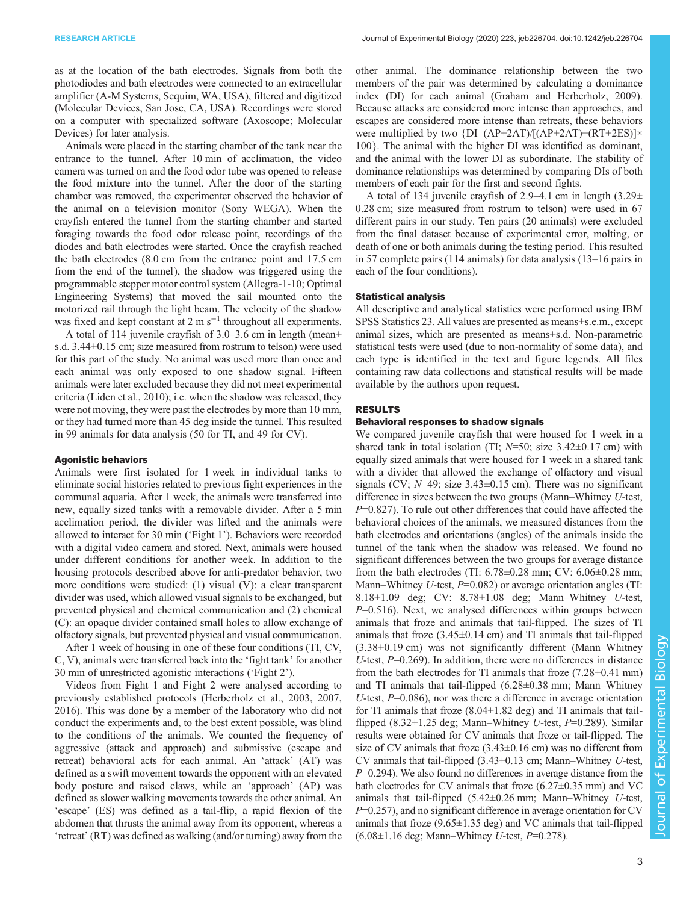as at the location of the bath electrodes. Signals from both the photodiodes and bath electrodes were connected to an extracellular amplifier (A-M Systems, Sequim, WA, USA), filtered and digitized (Molecular Devices, San Jose, CA, USA). Recordings were stored on a computer with specialized software (Axoscope; Molecular Devices) for later analysis.

Animals were placed in the starting chamber of the tank near the entrance to the tunnel. After 10 min of acclimation, the video camera was turned on and the food odor tube was opened to release the food mixture into the tunnel. After the door of the starting chamber was removed, the experimenter observed the behavior of the animal on a television monitor (Sony WEGA). When the crayfish entered the tunnel from the starting chamber and started foraging towards the food odor release point, recordings of the diodes and bath electrodes were started. Once the crayfish reached the bath electrodes (8.0 cm from the entrance point and 17.5 cm from the end of the tunnel), the shadow was triggered using the programmable stepper motor control system (Allegra-1-10; Optimal Engineering Systems) that moved the sail mounted onto the motorized rail through the light beam. The velocity of the shadow was fixed and kept constant at  $2 \text{ m s}^{-1}$  throughout all experiments.

A total of 114 juvenile crayfish of 3.0–3.6 cm in length (mean± s.d. 3.44±0.15 cm; size measured from rostrum to telson) were used for this part of the study. No animal was used more than once and each animal was only exposed to one shadow signal. Fifteen animals were later excluded because they did not meet experimental criteria [\(Liden et al., 2010\)](#page-9-0); i.e. when the shadow was released, they were not moving, they were past the electrodes by more than 10 mm, or they had turned more than 45 deg inside the tunnel. This resulted in 99 animals for data analysis (50 for TI, and 49 for CV).

#### Agonistic behaviors

Animals were first isolated for 1 week in individual tanks to eliminate social histories related to previous fight experiences in the communal aquaria. After 1 week, the animals were transferred into new, equally sized tanks with a removable divider. After a 5 min acclimation period, the divider was lifted and the animals were allowed to interact for 30 min ('Fight 1'). Behaviors were recorded with a digital video camera and stored. Next, animals were housed under different conditions for another week. In addition to the housing protocols described above for anti-predator behavior, two more conditions were studied: (1) visual (V): a clear transparent divider was used, which allowed visual signals to be exchanged, but prevented physical and chemical communication and (2) chemical (C): an opaque divider contained small holes to allow exchange of olfactory signals, but prevented physical and visual communication.

After 1 week of housing in one of these four conditions (TI, CV, C, V), animals were transferred back into the 'fight tank' for another 30 min of unrestricted agonistic interactions ('Fight 2').

Videos from Fight 1 and Fight 2 were analysed according to previously established protocols ([Herberholz et al., 2003, 2007,](#page-9-0) [2016](#page-9-0)). This was done by a member of the laboratory who did not conduct the experiments and, to the best extent possible, was blind to the conditions of the animals. We counted the frequency of aggressive (attack and approach) and submissive (escape and retreat) behavioral acts for each animal. An 'attack' (AT) was defined as a swift movement towards the opponent with an elevated body posture and raised claws, while an 'approach' (AP) was defined as slower walking movements towards the other animal. An 'escape' (ES) was defined as a tail-flip, a rapid flexion of the abdomen that thrusts the animal away from its opponent, whereas a 'retreat' (RT) was defined as walking (and/or turning) away from the

other animal. The dominance relationship between the two members of the pair was determined by calculating a dominance index (DI) for each animal ([Graham and Herberholz, 2009\)](#page-8-0). Because attacks are considered more intense than approaches, and escapes are considered more intense than retreats, these behaviors were multiplied by two  $\{DI=(AP+2AT)/[(AP+2AT)+(RT+2ES)]\times\}$ 100}. The animal with the higher DI was identified as dominant, and the animal with the lower DI as subordinate. The stability of dominance relationships was determined by comparing DIs of both members of each pair for the first and second fights.

A total of 134 juvenile crayfish of 2.9–4.1 cm in length (3.29± 0.28 cm; size measured from rostrum to telson) were used in 67 different pairs in our study. Ten pairs (20 animals) were excluded from the final dataset because of experimental error, molting, or death of one or both animals during the testing period. This resulted in 57 complete pairs (114 animals) for data analysis (13–16 pairs in each of the four conditions).

#### Statistical analysis

All descriptive and analytical statistics were performed using IBM SPSS Statistics 23. All values are presented as means±s.e.m., except animal sizes, which are presented as means±s.d. Non-parametric statistical tests were used (due to non-normality of some data), and each type is identified in the text and figure legends. All files containing raw data collections and statistical results will be made available by the authors upon request.

#### RESULTS

### Behavioral responses to shadow signals

We compared juvenile crayfish that were housed for 1 week in a shared tank in total isolation (TI;  $N=50$ ; size  $3.42\pm0.17$  cm) with equally sized animals that were housed for 1 week in a shared tank with a divider that allowed the exchange of olfactory and visual signals (CV;  $N=49$ ; size  $3.43\pm0.15$  cm). There was no significant difference in sizes between the two groups (Mann–Whitney U-test,  $P=0.827$ ). To rule out other differences that could have affected the behavioral choices of the animals, we measured distances from the bath electrodes and orientations (angles) of the animals inside the tunnel of the tank when the shadow was released. We found no significant differences between the two groups for average distance from the bath electrodes (TI: 6.78±0.28 mm; CV: 6.06±0.28 mm; Mann–Whitney *U*-test,  $P=0.082$ ) or average orientation angles (TI: 8.18±1.09 deg; CV: 8.78±1.08 deg; Mann–Whitney U-test,  $P=0.516$ ). Next, we analysed differences within groups between animals that froze and animals that tail-flipped. The sizes of TI animals that froze  $(3.45\pm0.14 \text{ cm})$  and TI animals that tail-flipped (3.38±0.19 cm) was not significantly different (Mann–Whitney U-test,  $P=0.269$ ). In addition, there were no differences in distance from the bath electrodes for TI animals that froze (7.28±0.41 mm) and TI animals that tail-flipped (6.28±0.38 mm; Mann–Whitney U-test,  $P=0.086$ ), nor was there a difference in average orientation for TI animals that froze  $(8.04 \pm 1.82 \text{ deg})$  and TI animals that tailflipped (8.32 $\pm$ 1.25 deg; Mann–Whitney U-test, P=0.289). Similar results were obtained for CV animals that froze or tail-flipped. The size of CV animals that froze  $(3.43\pm0.16$  cm) was no different from CV animals that tail-flipped (3.43±0.13 cm; Mann–Whitney U-test,  $P=0.294$ ). We also found no differences in average distance from the bath electrodes for CV animals that froze (6.27±0.35 mm) and VC animals that tail-flipped (5.42±0.26 mm; Mann–Whitney U-test,  $P=0.257$ , and no significant difference in average orientation for CV animals that froze  $(9.65 \pm 1.35 \text{ deg})$  and VC animals that tail-flipped  $(6.08 \pm 1.16 \text{ deg}; \text{Mann}-\text{Whitney } U\text{-test}, P=0.278).$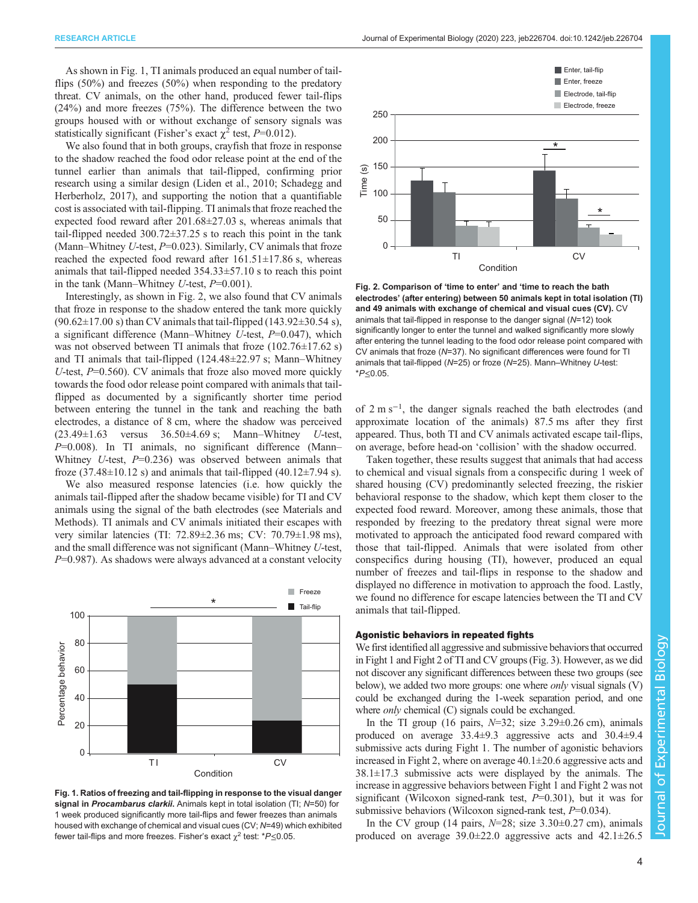As shown in Fig. 1, TI animals produced an equal number of tailflips (50%) and freezes (50%) when responding to the predatory threat. CV animals, on the other hand, produced fewer tail-flips (24%) and more freezes (75%). The difference between the two groups housed with or without exchange of sensory signals was statistically significant (Fisher's exact  $\chi^2$  test, P=0.012).

We also found that in both groups, crayfish that froze in response to the shadow reached the food odor release point at the end of the tunnel earlier than animals that tail-flipped, confirming prior research using a similar design [\(Liden et al., 2010; Schadegg and](#page-9-0) [Herberholz, 2017](#page-9-0)), and supporting the notion that a quantifiable cost is associated with tail-flipping. TI animals that froze reached the expected food reward after 201.68±27.03 s, whereas animals that tail-flipped needed 300.72±37.25 s to reach this point in the tank (Mann–Whitney U-test,  $P=0.023$ ). Similarly, CV animals that froze reached the expected food reward after  $161.51 \pm 17.86$  s, whereas animals that tail-flipped needed 354.33±57.10 s to reach this point in the tank (Mann–Whitney  $U$ -test,  $P=0.001$ ).

Interestingly, as shown in Fig. 2, we also found that CV animals that froze in response to the shadow entered the tank more quickly  $(90.62 \pm 17.00 \text{ s})$  than CV animals that tail-flipped  $(143.92 \pm 30.54 \text{ s})$ , a significant difference (Mann–Whitney U-test,  $P=0.047$ ), which was not observed between TI animals that froze (102.76±17.62 s) and TI animals that tail-flipped (124.48±22.97 s; Mann–Whitney U-test,  $P=0.560$ ). CV animals that froze also moved more quickly towards the food odor release point compared with animals that tailflipped as documented by a significantly shorter time period between entering the tunnel in the tank and reaching the bath electrodes, a distance of 8 cm, where the shadow was perceived  $(23.49 \pm 1.63$  versus  $36.50 \pm 4.69$  s; Mann–Whitney *U*-test, P=0.008). In TI animals, no significant difference (Mann– Whitney U-test,  $P=0.236$ ) was observed between animals that froze  $(37.48\pm10.12 \text{ s})$  and animals that tail-flipped  $(40.12\pm7.94 \text{ s})$ .

We also measured response latencies (i.e. how quickly the animals tail-flipped after the shadow became visible) for TI and CV animals using the signal of the bath electrodes (see Materials and Methods). TI animals and CV animals initiated their escapes with very similar latencies (TI: 72.89±2.36 ms; CV: 70.79±1.98 ms), and the small difference was not significant (Mann–Whitney U-test,  $P=0.987$ ). As shadows were always advanced at a constant velocity



Fig. 1. Ratios of freezing and tail-flipping in response to the visual danger signal in Procambarus clarkii. Animals kept in total isolation (TI; N=50) for 1 week produced significantly more tail-flips and fewer freezes than animals housed with exchange of chemical and visual cues (CV; N=49) which exhibited fewer tail-flips and more freezes. Fisher's exact  $\chi^2$  test: \*P ≤ 0.05.



Fig. 2. Comparison of 'time to enter' and 'time to reach the bath electrodes' (after entering) between 50 animals kept in total isolation (TI) and 49 animals with exchange of chemical and visual cues (CV). CV animals that tail-flipped in response to the danger signal (N=12) took significantly longer to enter the tunnel and walked significantly more slowly after entering the tunnel leading to the food odor release point compared with CV animals that froze (N=37). No significant differences were found for TI animals that tail-flipped (N=25) or froze (N=25). Mann–Whitney U-test: \*P≤0.05.

of 2 m s−<sup>1</sup> , the danger signals reached the bath electrodes (and approximate location of the animals) 87.5 ms after they first appeared. Thus, both TI and CV animals activated escape tail-flips, on average, before head-on 'collision' with the shadow occurred.

Taken together, these results suggest that animals that had access to chemical and visual signals from a conspecific during 1 week of shared housing (CV) predominantly selected freezing, the riskier behavioral response to the shadow, which kept them closer to the expected food reward. Moreover, among these animals, those that responded by freezing to the predatory threat signal were more motivated to approach the anticipated food reward compared with those that tail-flipped. Animals that were isolated from other conspecifics during housing (TI), however, produced an equal number of freezes and tail-flips in response to the shadow and displayed no difference in motivation to approach the food. Lastly, we found no difference for escape latencies between the TI and CV animals that tail-flipped.

#### Agonistic behaviors in repeated fights

We first identified all aggressive and submissive behaviors that occurred in Fight 1 and Fight 2 of TI and CV groups [\(Fig. 3\)](#page-4-0). However, as we did not discover any significant differences between these two groups (see below), we added two more groups: one where *only* visual signals (V) could be exchanged during the 1-week separation period, and one where *only* chemical (C) signals could be exchanged.

In the TI group (16 pairs,  $N=32$ ; size  $3.29\pm0.26$  cm), animals produced on average 33.4±9.3 aggressive acts and 30.4±9.4 submissive acts during Fight 1. The number of agonistic behaviors increased in Fight 2, where on average 40.1±20.6 aggressive acts and  $38.1 \pm 17.3$  submissive acts were displayed by the animals. The increase in aggressive behaviors between Fight 1 and Fight 2 was not significant (Wilcoxon signed-rank test,  $P=0.301$ ), but it was for submissive behaviors (Wilcoxon signed-rank test,  $P=0.034$ ).

In the CV group (14 pairs,  $N=28$ ; size  $3.30\pm0.27$  cm), animals produced on average 39.0±22.0 aggressive acts and 42.1±26.5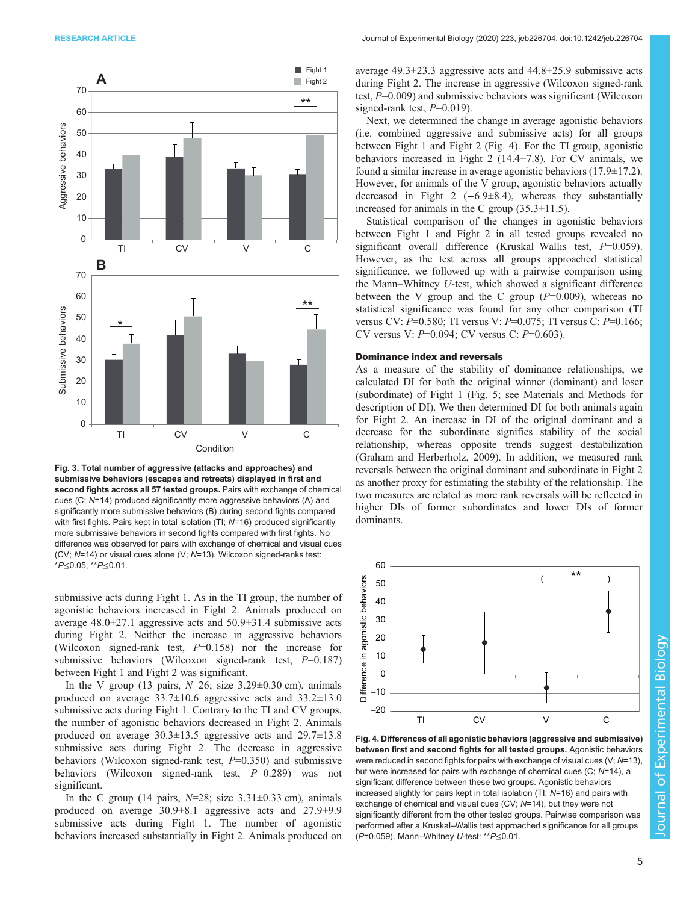<span id="page-4-0"></span>

Fig. 3. Total number of aggressive (attacks and approaches) and submissive behaviors (escapes and retreats) displayed in first and second fights across all 57 tested groups. Pairs with exchange of chemical cues (C; N=14) produced significantly more aggressive behaviors (A) and significantly more submissive behaviors (B) during second fights compared with first fights. Pairs kept in total isolation (TI; N=16) produced significantly more submissive behaviors in second fights compared with first fights. No difference was observed for pairs with exchange of chemical and visual cues (CV; N=14) or visual cues alone (V; N=13). Wilcoxon signed-ranks test: \*P≤0.05, \*\*P≤0.01.

submissive acts during Fight 1. As in the TI group, the number of agonistic behaviors increased in Fight 2. Animals produced on average 48.0±27.1 aggressive acts and 50.9±31.4 submissive acts during Fight 2. Neither the increase in aggressive behaviors (Wilcoxon signed-rank test,  $P=0.158$ ) nor the increase for submissive behaviors (Wilcoxon signed-rank test,  $P=0.187$ ) between Fight 1 and Fight 2 was significant.

In the V group (13 pairs,  $N=26$ ; size  $3.29\pm0.30$  cm), animals produced on average  $33.7\pm10.6$  aggressive acts and  $33.2\pm13.0$ submissive acts during Fight 1. Contrary to the TI and CV groups, the number of agonistic behaviors decreased in Fight 2. Animals produced on average 30.3±13.5 aggressive acts and 29.7±13.8 submissive acts during Fight 2. The decrease in aggressive behaviors (Wilcoxon signed-rank test,  $P=0.350$ ) and submissive behaviors (Wilcoxon signed-rank test,  $P=0.289$ ) was not significant.

In the C group (14 pairs,  $N=28$ ; size 3.31 $\pm$ 0.33 cm), animals produced on average 30.9±8.1 aggressive acts and 27.9±9.9 submissive acts during Fight 1. The number of agonistic behaviors increased substantially in Fight 2. Animals produced on

average 49.3±23.3 aggressive acts and 44.8±25.9 submissive acts during Fight 2. The increase in aggressive (Wilcoxon signed-rank test,  $P=0.009$ ) and submissive behaviors was significant (Wilcoxon signed-rank test,  $P=0.019$ ).

Next, we determined the change in average agonistic behaviors (i.e. combined aggressive and submissive acts) for all groups between Fight 1 and Fight 2 (Fig. 4). For the TI group, agonistic behaviors increased in Fight 2 (14.4±7.8). For CV animals, we found a similar increase in average agonistic behaviors  $(17.9 \pm 17.2)$ . However, for animals of the V group, agonistic behaviors actually decreased in Fight 2 (−6.9±8.4), whereas they substantially increased for animals in the C group (35.3±11.5).

Statistical comparison of the changes in agonistic behaviors between Fight 1 and Fight 2 in all tested groups revealed no significant overall difference (Kruskal–Wallis test,  $P=0.059$ ). However, as the test across all groups approached statistical significance, we followed up with a pairwise comparison using the Mann–Whitney U-test, which showed a significant difference between the V group and the C group  $(P=0.009)$ , whereas no statistical significance was found for any other comparison (TI versus CV:  $P=0.580$ ; TI versus V:  $P=0.075$ ; TI versus C:  $P=0.166$ ; CV versus V:  $P=0.094$ ; CV versus C:  $P=0.603$ ).

#### Dominance index and reversals

As a measure of the stability of dominance relationships, we calculated DI for both the original winner (dominant) and loser (subordinate) of Fight 1 [\(Fig. 5;](#page-5-0) see Materials and Methods for description of DI). We then determined DI for both animals again for Fight 2. An increase in DI of the original dominant and a decrease for the subordinate signifies stability of the social relationship, whereas opposite trends suggest destabilization [\(Graham and Herberholz, 2009](#page-8-0)). In addition, we measured rank reversals between the original dominant and subordinate in Fight 2 as another proxy for estimating the stability of the relationship. The two measures are related as more rank reversals will be reflected in higher DIs of former subordinates and lower DIs of former dominants.



Fig. 4. Differences of all agonistic behaviors (aggressive and submissive) between first and second fights for all tested groups. Agonistic behaviors were reduced in second fights for pairs with exchange of visual cues (V; N=13), but were increased for pairs with exchange of chemical cues (C; N=14), a significant difference between these two groups. Agonistic behaviors increased slightly for pairs kept in total isolation (TI; N=16) and pairs with exchange of chemical and visual cues (CV; N=14), but they were not significantly different from the other tested groups. Pairwise comparison was performed after a Kruskal–Wallis test approached significance for all groups (P=0.059). Mann–Whitney U-test: \*\*P≤0.01.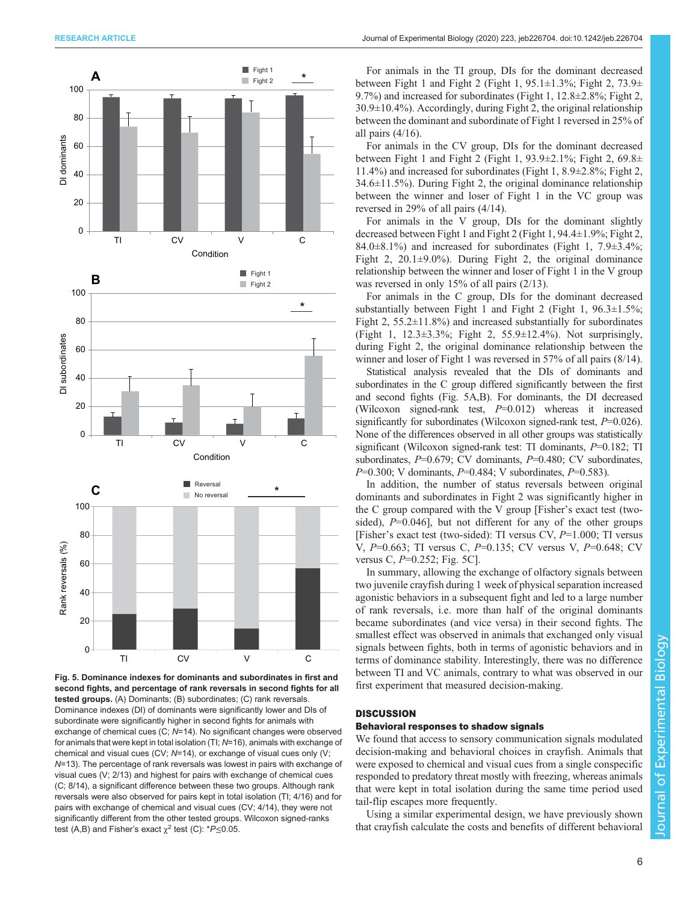<span id="page-5-0"></span>

Fig. 5. Dominance indexes for dominants and subordinates in first and second fights, and percentage of rank reversals in second fights for all tested groups. (A) Dominants; (B) subordinates; (C) rank reversals. Dominance indexes (DI) of dominants were significantly lower and DIs of subordinate were significantly higher in second fights for animals with exchange of chemical cues (C; N=14). No significant changes were observed for animals that were kept in total isolation (TI; N=16), animals with exchange of chemical and visual cues (CV; N=14), or exchange of visual cues only (V; N=13). The percentage of rank reversals was lowest in pairs with exchange of visual cues (V; 2/13) and highest for pairs with exchange of chemical cues (C; 8/14), a significant difference between these two groups. Although rank reversals were also observed for pairs kept in total isolation (TI; 4/16) and for pairs with exchange of chemical and visual cues (CV; 4/14), they were not significantly different from the other tested groups. Wilcoxon signed-ranks test (A,B) and Fisher's exact  $\chi^2$  test (C): \*P ≤ 0.05.

For animals in the TI group, DIs for the dominant decreased between Fight 1 and Fight 2 (Fight 1,  $95.1 \pm 1.3\%$ ; Fight 2,  $73.9 \pm$ 9.7%) and increased for subordinates (Fight 1, 12.8±2.8%; Fight 2,  $30.9\pm10.4\%$ ). Accordingly, during Fight 2, the original relationship between the dominant and subordinate of Fight 1 reversed in 25% of all pairs (4/16).

For animals in the CV group, DIs for the dominant decreased between Fight 1 and Fight 2 (Fight 1,  $93.9 \pm 2.1\%$ ; Fight 2,  $69.8 \pm$ 11.4%) and increased for subordinates (Fight 1, 8.9±2.8%; Fight 2, 34.6±11.5%). During Fight 2, the original dominance relationship between the winner and loser of Fight 1 in the VC group was reversed in 29% of all pairs (4/14).

For animals in the V group, DIs for the dominant slightly decreased between Fight 1 and Fight 2 (Fight 1, 94.4±1.9%; Fight 2, 84.0 $\pm$ 8.1%) and increased for subordinates (Fight 1, 7.9 $\pm$ 3.4%; Fight 2,  $20.1\pm9.0\%$ ). During Fight 2, the original dominance relationship between the winner and loser of Fight 1 in the V group was reversed in only 15% of all pairs (2/13).

For animals in the C group, DIs for the dominant decreased substantially between Fight 1 and Fight 2 (Fight 1,  $96.3 \pm 1.5\%$ ; Fight 2,  $55.2 \pm 11.8\%$ ) and increased substantially for subordinates (Fight 1, 12.3±3.3%; Fight 2, 55.9±12.4%). Not surprisingly, during Fight 2, the original dominance relationship between the winner and loser of Fight 1 was reversed in 57% of all pairs (8/14).

Statistical analysis revealed that the DIs of dominants and subordinates in the C group differed significantly between the first and second fights (Fig. 5A,B). For dominants, the DI decreased (Wilcoxon signed-rank test,  $P=0.012$ ) whereas it increased significantly for subordinates (Wilcoxon signed-rank test,  $P=0.026$ ). None of the differences observed in all other groups was statistically significant (Wilcoxon signed-rank test: TI dominants,  $P=0.182$ ; TI subordinates,  $P=0.679$ ; CV dominants,  $P=0.480$ ; CV subordinates,  $P=0.300$ ; V dominants,  $P=0.484$ ; V subordinates,  $P=0.583$ ).

In addition, the number of status reversals between original dominants and subordinates in Fight 2 was significantly higher in the C group compared with the V group [Fisher's exact test (twosided),  $P=0.046$ ], but not different for any of the other groups [Fisher's exact test (two-sided): TI versus CV,  $P=1.000$ ; TI versus V, P=0.663; TI versus C, P=0.135; CV versus V, P=0.648; CV versus C,  $P=0.252$ ; Fig. 5C].

In summary, allowing the exchange of olfactory signals between two juvenile crayfish during 1 week of physical separation increased agonistic behaviors in a subsequent fight and led to a large number of rank reversals, i.e. more than half of the original dominants became subordinates (and vice versa) in their second fights. The smallest effect was observed in animals that exchanged only visual signals between fights, both in terms of agonistic behaviors and in terms of dominance stability. Interestingly, there was no difference between TI and VC animals, contrary to what was observed in our first experiment that measured decision-making.

## **DISCUSSION**

## Behavioral responses to shadow signals

We found that access to sensory communication signals modulated decision-making and behavioral choices in crayfish. Animals that were exposed to chemical and visual cues from a single conspecific responded to predatory threat mostly with freezing, whereas animals that were kept in total isolation during the same time period used tail-flip escapes more frequently.

Using a similar experimental design, we have previously shown that crayfish calculate the costs and benefits of different behavioral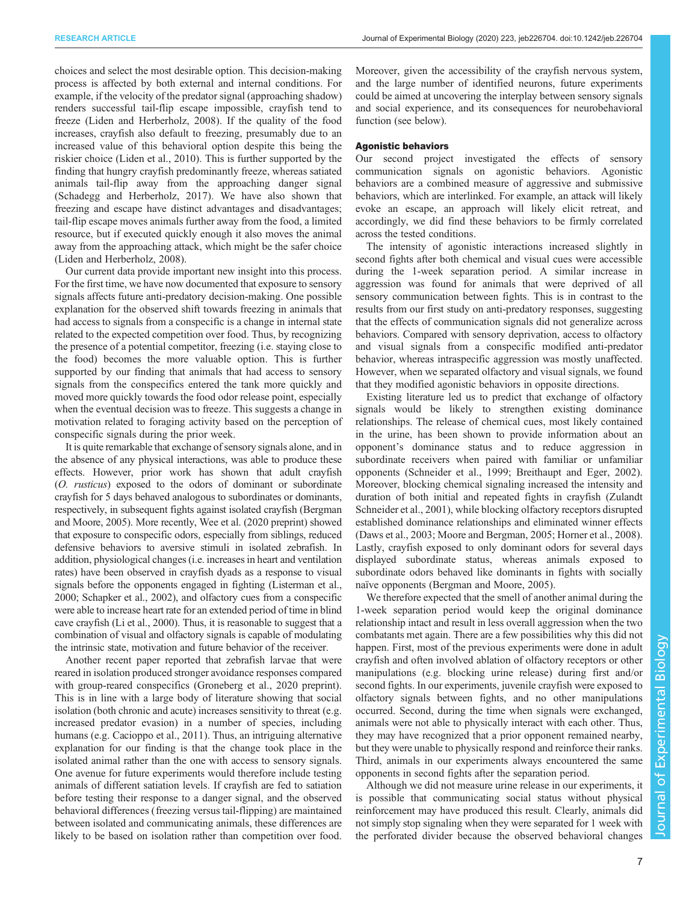choices and select the most desirable option. This decision-making process is affected by both external and internal conditions. For example, if the velocity of the predator signal (approaching shadow) renders successful tail-flip escape impossible, crayfish tend to freeze ([Liden and Herberholz, 2008\)](#page-9-0). If the quality of the food increases, crayfish also default to freezing, presumably due to an increased value of this behavioral option despite this being the riskier choice ([Liden et al., 2010\)](#page-9-0). This is further supported by the finding that hungry crayfish predominantly freeze, whereas satiated animals tail-flip away from the approaching danger signal [\(Schadegg and Herberholz, 2017](#page-9-0)). We have also shown that freezing and escape have distinct advantages and disadvantages; tail-flip escape moves animals further away from the food, a limited resource, but if executed quickly enough it also moves the animal away from the approaching attack, which might be the safer choice [\(Liden and Herberholz, 2008](#page-9-0)).

Our current data provide important new insight into this process. For the first time, we have now documented that exposure to sensory signals affects future anti-predatory decision-making. One possible explanation for the observed shift towards freezing in animals that had access to signals from a conspecific is a change in internal state related to the expected competition over food. Thus, by recognizing the presence of a potential competitor, freezing (i.e. staying close to the food) becomes the more valuable option. This is further supported by our finding that animals that had access to sensory signals from the conspecifics entered the tank more quickly and moved more quickly towards the food odor release point, especially when the eventual decision was to freeze. This suggests a change in motivation related to foraging activity based on the perception of conspecific signals during the prior week.

It is quite remarkable that exchange of sensory signals alone, and in the absence of any physical interactions, was able to produce these effects. However, prior work has shown that adult crayfish (O. rusticus) exposed to the odors of dominant or subordinate crayfish for 5 days behaved analogous to subordinates or dominants, respectively, in subsequent fights against isolated crayfish [\(Bergman](#page-8-0) [and Moore, 2005\)](#page-8-0). More recently, [Wee et al. \(2020](#page-9-0) preprint) showed that exposure to conspecific odors, especially from siblings, reduced defensive behaviors to aversive stimuli in isolated zebrafish. In addition, physiological changes (i.e. increases in heart and ventilation rates) have been observed in crayfish dyads as a response to visual signals before the opponents engaged in fighting ([Listerman et al.,](#page-9-0) [2000; Schapker et al., 2002](#page-9-0)), and olfactory cues from a conspecific were able to increase heart rate for an extended period of time in blind cave crayfish [\(Li et al., 2000\)](#page-9-0). Thus, it is reasonable to suggest that a combination of visual and olfactory signals is capable of modulating the intrinsic state, motivation and future behavior of the receiver.

Another recent paper reported that zebrafish larvae that were reared in isolation produced stronger avoidance responses compared with group-reared conspecifics [\(Groneberg et al., 2020](#page-9-0) preprint). This is in line with a large body of literature showing that social isolation (both chronic and acute) increases sensitivity to threat (e.g. increased predator evasion) in a number of species, including humans (e.g. [Cacioppo et al., 2011\)](#page-8-0). Thus, an intriguing alternative explanation for our finding is that the change took place in the isolated animal rather than the one with access to sensory signals. One avenue for future experiments would therefore include testing animals of different satiation levels. If crayfish are fed to satiation before testing their response to a danger signal, and the observed behavioral differences (freezing versus tail-flipping) are maintained between isolated and communicating animals, these differences are likely to be based on isolation rather than competition over food.

Moreover, given the accessibility of the crayfish nervous system, and the large number of identified neurons, future experiments could be aimed at uncovering the interplay between sensory signals and social experience, and its consequences for neurobehavioral function (see below).

#### Agonistic behaviors

Our second project investigated the effects of sensory communication signals on agonistic behaviors. Agonistic behaviors are a combined measure of aggressive and submissive behaviors, which are interlinked. For example, an attack will likely evoke an escape, an approach will likely elicit retreat, and accordingly, we did find these behaviors to be firmly correlated across the tested conditions.

The intensity of agonistic interactions increased slightly in second fights after both chemical and visual cues were accessible during the 1-week separation period. A similar increase in aggression was found for animals that were deprived of all sensory communication between fights. This is in contrast to the results from our first study on anti-predatory responses, suggesting that the effects of communication signals did not generalize across behaviors. Compared with sensory deprivation, access to olfactory and visual signals from a conspecific modified anti-predator behavior, whereas intraspecific aggression was mostly unaffected. However, when we separated olfactory and visual signals, we found that they modified agonistic behaviors in opposite directions.

Existing literature led us to predict that exchange of olfactory signals would be likely to strengthen existing dominance relationships. The release of chemical cues, most likely contained in the urine, has been shown to provide information about an opponent's dominance status and to reduce aggression in subordinate receivers when paired with familiar or unfamiliar opponents [\(Schneider et al., 1999](#page-9-0); [Breithaupt and Eger, 2002\)](#page-8-0). Moreover, blocking chemical signaling increased the intensity and duration of both initial and repeated fights in crayfish ([Zulandt](#page-10-0) [Schneider et al., 2001](#page-10-0)), while blocking olfactory receptors disrupted established dominance relationships and eliminated winner effects [\(Daws et al., 2003;](#page-8-0) [Moore and Bergman, 2005](#page-9-0); [Horner et al., 2008\)](#page-9-0). Lastly, crayfish exposed to only dominant odors for several days displayed subordinate status, whereas animals exposed to subordinate odors behaved like dominants in fights with socially naïve opponents ([Bergman and Moore, 2005](#page-8-0)).

We therefore expected that the smell of another animal during the 1-week separation period would keep the original dominance relationship intact and result in less overall aggression when the two combatants met again. There are a few possibilities why this did not happen. First, most of the previous experiments were done in adult crayfish and often involved ablation of olfactory receptors or other manipulations (e.g. blocking urine release) during first and/or second fights. In our experiments, juvenile crayfish were exposed to olfactory signals between fights, and no other manipulations occurred. Second, during the time when signals were exchanged, animals were not able to physically interact with each other. Thus, they may have recognized that a prior opponent remained nearby, but they were unable to physically respond and reinforce their ranks. Third, animals in our experiments always encountered the same opponents in second fights after the separation period.

Although we did not measure urine release in our experiments, it is possible that communicating social status without physical reinforcement may have produced this result. Clearly, animals did not simply stop signaling when they were separated for 1 week with the perforated divider because the observed behavioral changes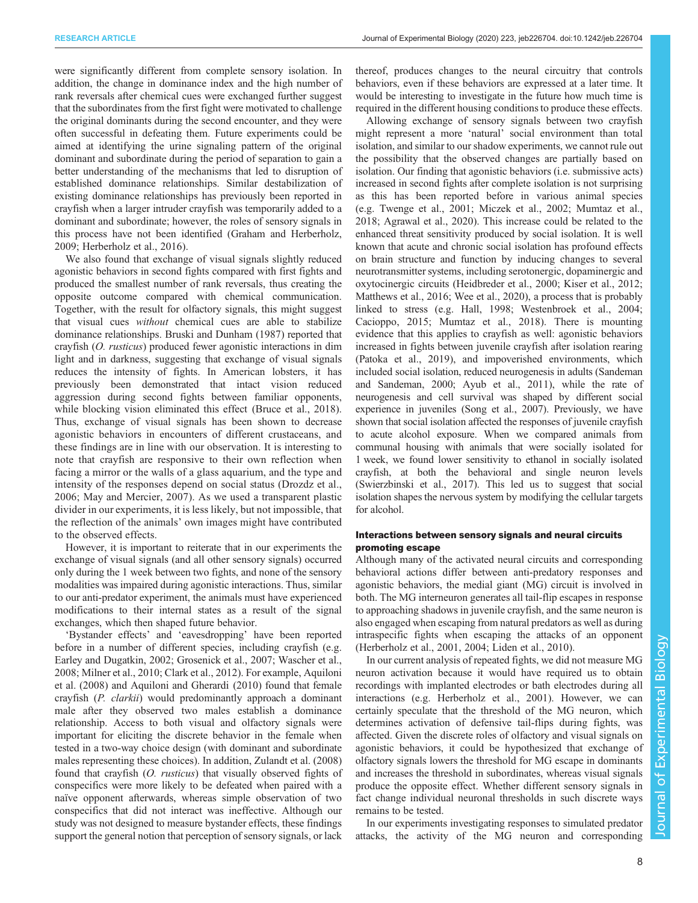were significantly different from complete sensory isolation. In addition, the change in dominance index and the high number of rank reversals after chemical cues were exchanged further suggest that the subordinates from the first fight were motivated to challenge the original dominants during the second encounter, and they were often successful in defeating them. Future experiments could be aimed at identifying the urine signaling pattern of the original dominant and subordinate during the period of separation to gain a better understanding of the mechanisms that led to disruption of established dominance relationships. Similar destabilization of existing dominance relationships has previously been reported in crayfish when a larger intruder crayfish was temporarily added to a dominant and subordinate; however, the roles of sensory signals in this process have not been identified ([Graham and Herberholz,](#page-8-0) [2009](#page-8-0); [Herberholz et al., 2016\)](#page-9-0).

We also found that exchange of visual signals slightly reduced agonistic behaviors in second fights compared with first fights and produced the smallest number of rank reversals, thus creating the opposite outcome compared with chemical communication. Together, with the result for olfactory signals, this might suggest that visual cues without chemical cues are able to stabilize dominance relationships. [Bruski and Dunham \(1987\)](#page-8-0) reported that crayfish (O. rusticus) produced fewer agonistic interactions in dim light and in darkness, suggesting that exchange of visual signals reduces the intensity of fights. In American lobsters, it has previously been demonstrated that intact vision reduced aggression during second fights between familiar opponents, while blocking vision eliminated this effect [\(Bruce et al., 2018\)](#page-8-0). Thus, exchange of visual signals has been shown to decrease agonistic behaviors in encounters of different crustaceans, and these findings are in line with our observation. It is interesting to note that crayfish are responsive to their own reflection when facing a mirror or the walls of a glass aquarium, and the type and intensity of the responses depend on social status [\(Drozdz et al.,](#page-8-0) [2006](#page-8-0); [May and Mercier, 2007](#page-9-0)). As we used a transparent plastic divider in our experiments, it is less likely, but not impossible, that the reflection of the animals' own images might have contributed to the observed effects.

However, it is important to reiterate that in our experiments the exchange of visual signals (and all other sensory signals) occurred only during the 1 week between two fights, and none of the sensory modalities was impaired during agonistic interactions. Thus, similar to our anti-predator experiment, the animals must have experienced modifications to their internal states as a result of the signal exchanges, which then shaped future behavior.

'Bystander effects' and 'eavesdropping' have been reported before in a number of different species, including crayfish (e.g. [Earley and Dugatkin, 2002](#page-8-0); [Grosenick et al., 2007; Wascher et al.,](#page-9-0) [2008](#page-9-0); [Milner et al., 2010;](#page-9-0) [Clark et al., 2012](#page-8-0)). For example, [Aquiloni](#page-8-0) [et al. \(2008\)](#page-8-0) and [Aquiloni and Gherardi \(2010\)](#page-8-0) found that female crayfish (P. clarkii) would predominantly approach a dominant male after they observed two males establish a dominance relationship. Access to both visual and olfactory signals were important for eliciting the discrete behavior in the female when tested in a two-way choice design (with dominant and subordinate males representing these choices). In addition, [Zulandt et al. \(2008\)](#page-10-0) found that crayfish (O. rusticus) that visually observed fights of conspecifics were more likely to be defeated when paired with a naïve opponent afterwards, whereas simple observation of two conspecifics that did not interact was ineffective. Although our study was not designed to measure bystander effects, these findings support the general notion that perception of sensory signals, or lack

thereof, produces changes to the neural circuitry that controls behaviors, even if these behaviors are expressed at a later time. It would be interesting to investigate in the future how much time is required in the different housing conditions to produce these effects.

Allowing exchange of sensory signals between two crayfish might represent a more 'natural' social environment than total isolation, and similar to our shadow experiments, we cannot rule out the possibility that the observed changes are partially based on isolation. Our finding that agonistic behaviors (i.e. submissive acts) increased in second fights after complete isolation is not surprising as this has been reported before in various animal species (e.g. [Twenge et al., 2001](#page-9-0); [Miczek et al., 2002; Mumtaz et al.,](#page-9-0) [2018;](#page-9-0) [Agrawal et al., 2020](#page-8-0)). This increase could be related to the enhanced threat sensitivity produced by social isolation. It is well known that acute and chronic social isolation has profound effects on brain structure and function by inducing changes to several neurotransmitter systems, including serotonergic, dopaminergic and oxytocinergic circuits [\(Heidbreder et al., 2000; Kiser et al., 2012](#page-9-0); [Matthews et al., 2016; Wee et al., 2020](#page-9-0)), a process that is probably linked to stress (e.g. [Hall, 1998](#page-9-0); [Westenbroek et al., 2004](#page-10-0); [Cacioppo, 2015](#page-8-0); [Mumtaz et al., 2018](#page-9-0)). There is mounting evidence that this applies to crayfish as well: agonistic behaviors increased in fights between juvenile crayfish after isolation rearing [\(Patoka et al., 2019\)](#page-9-0), and impoverished environments, which included social isolation, reduced neurogenesis in adults [\(Sandeman](#page-9-0) [and Sandeman, 2000](#page-9-0); [Ayub et al., 2011](#page-8-0)), while the rate of neurogenesis and cell survival was shaped by different social experience in juveniles ([Song et al., 2007\)](#page-9-0). Previously, we have shown that social isolation affected the responses of juvenile crayfish to acute alcohol exposure. When we compared animals from communal housing with animals that were socially isolated for 1 week, we found lower sensitivity to ethanol in socially isolated crayfish, at both the behavioral and single neuron levels [\(Swierzbinski et al., 2017\)](#page-9-0). This led us to suggest that social isolation shapes the nervous system by modifying the cellular targets for alcohol.

## Interactions between sensory signals and neural circuits promoting escape

Although many of the activated neural circuits and corresponding behavioral actions differ between anti-predatory responses and agonistic behaviors, the medial giant (MG) circuit is involved in both. The MG interneuron generates all tail-flip escapes in response to approaching shadows in juvenile crayfish, and the same neuron is also engaged when escaping from natural predators as well as during intraspecific fights when escaping the attacks of an opponent [\(Herberholz et al., 2001, 2004; Liden et al., 2010](#page-9-0)).

In our current analysis of repeated fights, we did not measure MG neuron activation because it would have required us to obtain recordings with implanted electrodes or bath electrodes during all interactions (e.g. [Herberholz et al., 2001\)](#page-9-0). However, we can certainly speculate that the threshold of the MG neuron, which determines activation of defensive tail-flips during fights, was affected. Given the discrete roles of olfactory and visual signals on agonistic behaviors, it could be hypothesized that exchange of olfactory signals lowers the threshold for MG escape in dominants and increases the threshold in subordinates, whereas visual signals produce the opposite effect. Whether different sensory signals in fact change individual neuronal thresholds in such discrete ways remains to be tested.

In our experiments investigating responses to simulated predator attacks, the activity of the MG neuron and corresponding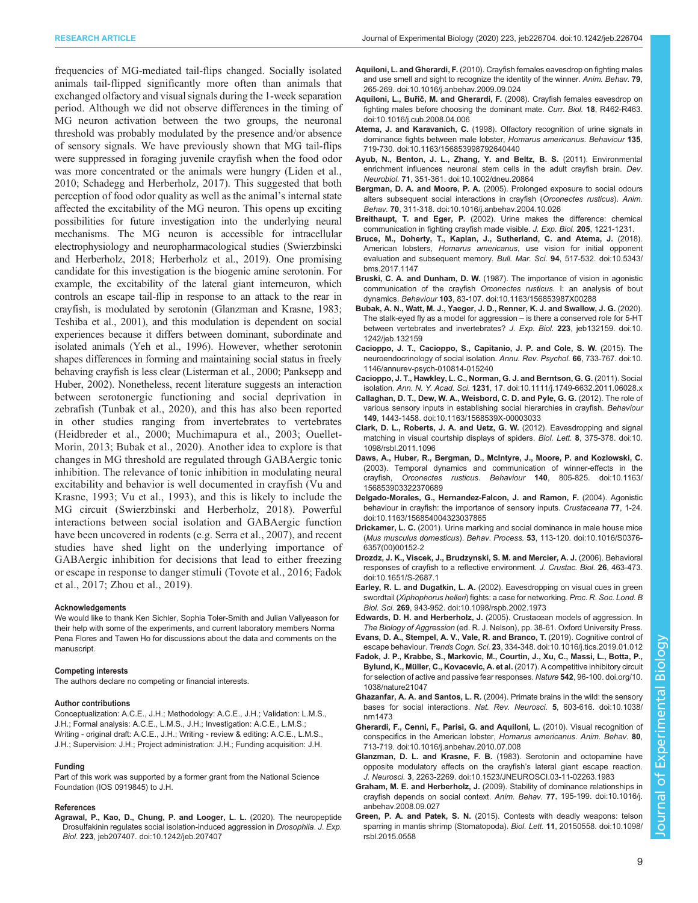<span id="page-8-0"></span>frequencies of MG-mediated tail-flips changed. Socially isolated animals tail-flipped significantly more often than animals that exchanged olfactory and visual signals during the 1-week separation period. Although we did not observe differences in the timing of MG neuron activation between the two groups, the neuronal threshold was probably modulated by the presence and/or absence of sensory signals. We have previously shown that MG tail-flips were suppressed in foraging juvenile crayfish when the food odor was more concentrated or the animals were hungry ([Liden et al.,](#page-9-0) [2010](#page-9-0); [Schadegg and Herberholz, 2017\)](#page-9-0). This suggested that both perception of food odor quality as well as the animal's internal state affected the excitability of the MG neuron. This opens up exciting possibilities for future investigation into the underlying neural mechanisms. The MG neuron is accessible for intracellular electrophysiology and neuropharmacological studies ([Swierzbinski](#page-9-0) [and Herberholz, 2018](#page-9-0); [Herberholz et al., 2019](#page-9-0)). One promising candidate for this investigation is the biogenic amine serotonin. For example, the excitability of the lateral giant interneuron, which controls an escape tail-flip in response to an attack to the rear in crayfish, is modulated by serotonin (Glanzman and Krasne, 1983; [Teshiba et al., 2001\)](#page-9-0), and this modulation is dependent on social experiences because it differs between dominant, subordinate and isolated animals ([Yeh et al., 1996\)](#page-10-0). However, whether serotonin shapes differences in forming and maintaining social status in freely behaving crayfish is less clear [\(Listerman et al., 2000; Panksepp and](#page-9-0) [Huber, 2002](#page-9-0)). Nonetheless, recent literature suggests an interaction between serotonergic functioning and social deprivation in zebrafish [\(Tunbak et al., 2020](#page-9-0)), and this has also been reported in other studies ranging from invertebrates to vertebrates [\(Heidbreder et al., 2000; Muchimapura et al., 2003](#page-9-0); [Ouellet-](#page-9-0)[Morin, 2013;](#page-9-0) Bubak et al., 2020). Another idea to explore is that changes in MG threshold are regulated through GABAergic tonic inhibition. The relevance of tonic inhibition in modulating neural excitability and behavior is well documented in crayfish ([Vu and](#page-9-0) [Krasne, 1993](#page-9-0); [Vu et al., 1993\)](#page-9-0), and this is likely to include the MG circuit [\(Swierzbinski and Herberholz, 2018](#page-9-0)). Powerful interactions between social isolation and GABAergic function have been uncovered in rodents (e.g. [Serra et al., 2007](#page-9-0)), and recent studies have shed light on the underlying importance of GABAergic inhibition for decisions that lead to either freezing or escape in response to danger stimuli ([Tovote et al., 2016](#page-9-0); Fadok et al., 2017; [Zhou et al., 2019](#page-10-0)).

#### Acknowledgements

We would like to thank Ken Sichler, Sophia Toler-Smith and Julian Vallyeason for their help with some of the experiments, and current laboratory members Norma Pena Flores and Tawen Ho for discussions about the data and comments on the manuscript.

#### Competing interests

The authors declare no competing or financial interests.

#### Author contributions

Conceptualization: A.C.E., J.H.; Methodology: A.C.E., J.H.; Validation: L.M.S., J.H.; Formal analysis: A.C.E., L.M.S., J.H.; Investigation: A.C.E., L.M.S.; Writing - original draft: A.C.E., J.H.; Writing - review & editing: A.C.E., L.M.S., J.H.; Supervision: J.H.; Project administration: J.H.; Funding acquisition: J.H.

#### Funding

Part of this work was supported by a former grant from the National Science Foundation (IOS 0919845) to J.H.

#### References

[Agrawal, P., Kao, D., Chung, P. and Looger, L. L.](https://doi.org/10.1242/jeb.207407) (2020). The neuropeptide [Drosulfakinin regulates social isolation-induced aggression in](https://doi.org/10.1242/jeb.207407) Drosophila. J. Exp. Biol. 223[, jeb207407. doi:10.1242/jeb.207407](https://doi.org/10.1242/jeb.207407)

- Aquiloni, L. and Gherardi, F. [\(2010\). Crayfish females eavesdrop on fighting males](https://doi.org/10.1016/j.anbehav.2009.09.024) [and use smell and sight to recognize the identity of the winner.](https://doi.org/10.1016/j.anbehav.2009.09.024) Anim. Behav. 79, [265-269. doi:10.1016/j.anbehav.2009.09.024](https://doi.org/10.1016/j.anbehav.2009.09.024)
- Aquiloni, L., Buřič, M. and Gherardi, F. [\(2008\). Crayfish females eavesdrop on](https://doi.org/10.1016/j.cub.2008.04.006) [fighting males before choosing the dominant mate.](https://doi.org/10.1016/j.cub.2008.04.006) Curr. Biol. 18, R462-R463. [doi:10.1016/j.cub.2008.04.006](https://doi.org/10.1016/j.cub.2008.04.006)
- Atema, J. and Karavanich, C. [\(1998\). Olfactory recognition of urine signals in](https://doi.org/10.1163/156853998792640440) [dominance fights between male lobster,](https://doi.org/10.1163/156853998792640440) Homarus americanus. Behaviour 135, [719-730. doi:10.1163/156853998792640440](https://doi.org/10.1163/156853998792640440)
- [Ayub, N., Benton, J. L., Zhang, Y. and Beltz, B. S.](https://doi.org/10.1002/dneu.20864) (2011). Environmental [enrichment influences neuronal stem cells in the adult crayfish brain.](https://doi.org/10.1002/dneu.20864) Dev. Neurobiol. 71[, 351-361. doi:10.1002/dneu.20864](https://doi.org/10.1002/dneu.20864)
- Bergman, D. A. and Moore, P. A. [\(2005\). Prolonged exposure to social odours](https://doi.org/10.1016/j.anbehav.2004.10.026) [alters subsequent social interactions in crayfish \(](https://doi.org/10.1016/j.anbehav.2004.10.026)Orconectes rusticus). Anim. Behav. 70[, 311-318. doi:10.1016/j.anbehav.2004.10.026](https://doi.org/10.1016/j.anbehav.2004.10.026)
- Breithaupt, T. and Eger, P. (2002). Urine makes the difference: chemical communication in fighting crayfish made visible. J. Exp. Biol. 205, 1221-1231.
- [Bruce, M., Doherty, T., Kaplan, J., Sutherland, C. and Atema, J.](https://doi.org/10.5343/bms.2017.1147) (2018). American lobsters, Homarus americanus[, use vision for initial opponent](https://doi.org/10.5343/bms.2017.1147) [evaluation and subsequent memory.](https://doi.org/10.5343/bms.2017.1147) Bull. Mar. Sci. 94, 517-532. doi:10.5343/ [bms.2017.1147](https://doi.org/10.5343/bms.2017.1147)
- Bruski, C. A. and Dunham, D. W. [\(1987\). The importance of vision in agonistic](https://doi.org/10.1163/156853987X00288) [communication of the crayfish](https://doi.org/10.1163/156853987X00288) Orconectes rusticus. I: an analysis of bout dynamics. Behaviour 103[, 83-107. doi:10.1163/156853987X00288](https://doi.org/10.1163/156853987X00288)
- [Bubak, A. N., Watt, M. J., Yaeger, J. D., Renner, K. J. and Swallow, J. G.](https://doi.org/10.1242/jeb.132159) (2020). [The stalk-eyed fly as a model for aggression](https://doi.org/10.1242/jeb.132159) – is there a conserved role for 5-HT [between vertebrates and invertebrates?](https://doi.org/10.1242/jeb.132159) J. Exp. Biol. 223, jeb132159. doi:10. [1242/jeb.132159](https://doi.org/10.1242/jeb.132159)
- [Cacioppo, J. T., Cacioppo, S., Capitanio, J. P. and Cole, S. W.](https://doi.org/10.1146/annurev-psych-010814-015240) (2015). The [neuroendocrinology of social isolation.](https://doi.org/10.1146/annurev-psych-010814-015240) Annu. Rev. Psychol. 66, 733-767. doi:10. [1146/annurev-psych-010814-015240](https://doi.org/10.1146/annurev-psych-010814-015240)
- [Cacioppo, J. T., Hawkley, L. C., Norman, G. J. and Berntson, G. G.](https://doi.org/10.1111/j.1749-6632.2011.06028.x) (2011). Social isolation. Ann. N. Y. Acad. Sci. 1231[, 17. doi:10.1111/j.1749-6632.2011.06028.x](https://doi.org/10.1111/j.1749-6632.2011.06028.x)
- [Callaghan, D. T., Dew, W. A., Weisbord, C. D. and Pyle, G. G.](https://doi.org/10.1163/1568539X-00003033) (2012). The role of [various sensory inputs in establishing social hierarchies in crayfish.](https://doi.org/10.1163/1568539X-00003033) Behaviour 149[, 1443-1458. doi:10.1163/1568539X-00003033](https://doi.org/10.1163/1568539X-00003033)
- [Clark, D. L., Roberts, J. A. and Uetz, G. W.](https://doi.org/10.1098/rsbl.2011.1096) (2012). Eavesdropping and signal [matching in visual courtship displays of spiders.](https://doi.org/10.1098/rsbl.2011.1096) Biol. Lett. 8, 375-378. doi:10. [1098/rsbl.2011.1096](https://doi.org/10.1098/rsbl.2011.1096)
- [Daws, A., Huber, R., Bergman, D., McIntyre, J., Moore, P. and Kozlowski, C.](https://doi.org/10.1163/156853903322370689) [\(2003\). Temporal dynamics and communication of winner-effects in the](https://doi.org/10.1163/156853903322370689) crayfish, Orconectes rusticus. Behaviour 140[, 805-825. doi:10.1163/](https://doi.org/10.1163/156853903322370689) [156853903322370689](https://doi.org/10.1163/156853903322370689)
- [Delgado-Morales, G., Hernandez-Falcon, J. and Ramon, F.](https://doi.org/10.1163/156854004323037865) (2004). Agonistic [behaviour in crayfish: the importance of sensory inputs.](https://doi.org/10.1163/156854004323037865) Crustaceana 77, 1-24. [doi:10.1163/156854004323037865](https://doi.org/10.1163/156854004323037865)
- Drickamer, L. C. [\(2001\). Urine marking and social dominance in male house mice](https://doi.org/10.1016/S0376-6357(00)00152-2) (Mus musculus domesticus). Behav. Process. 53[, 113-120. doi:10.1016/S0376-](https://doi.org/10.1016/S0376-6357(00)00152-2) [6357\(00\)00152-2](https://doi.org/10.1016/S0376-6357(00)00152-2)
- [Drozdz, J. K., Viscek, J., Brudzynski, S. M. and Mercier, A. J.](https://doi.org/10.1651/S-2687.1) (2006). Behavioral [responses of crayfish to a reflective environment.](https://doi.org/10.1651/S-2687.1) J. Crustac. Biol. 26, 463-473. [doi:10.1651/S-2687.1](https://doi.org/10.1651/S-2687.1)
- Earley, R. L. and Dugatkin, L. A. [\(2002\). Eavesdropping on visual cues in green](https://doi.org/10.1098/rspb.2002.1973) swordtail (Xiphophorus helleri[\) fights: a case for networking.](https://doi.org/10.1098/rspb.2002.1973) Proc. R. Soc. Lond. B Biol. Sci. 269[, 943-952. doi:10.1098/rspb.2002.1973](https://doi.org/10.1098/rspb.2002.1973)
- Edwards, D. H. and Herberholz, J. (2005). Crustacean models of aggression. In The Biology of Aggression (ed. R. J. Nelson), pp. 38-61. Oxford University Press.
- [Evans, D. A., Stempel, A. V., Vale, R. and Branco, T.](https://doi.org/10.1016/j.tics.2019.01.012) (2019). Cognitive control of escape behaviour. Trends Cogn. Sci. 23[, 334-348. doi:10.1016/j.tics.2019.01.012](https://doi.org/10.1016/j.tics.2019.01.012)
- [Fadok, J. P., Krabbe, S., Markovic, M., Courtin, J., Xu, C., Massi, L., Botta, P.,](https://doi.org/10.1038/nature21047) Bylund, K., Müller, C., Kovacevic, A. et al. [\(2017\). A competitive inhibitory circuit](https://doi.org/10.1038/nature21047) [for selection of active and passive fear responses.](https://doi.org/10.1038/nature21047) Nature 542, 96-100. doi.org/10. [1038/nature21047](https://doi.org/10.1038/nature21047)
- Ghazanfar, A. A. and Santos, L. R. [\(2004\). Primate brains in the wild: the sensory](https://doi.org/10.1038/nrn1473) [bases for social interactions.](https://doi.org/10.1038/nrn1473) Nat. Rev. Neurosci. 5, 603-616. doi:10.1038/ [nrn1473](https://doi.org/10.1038/nrn1473)
- [Gherardi, F., Cenni, F., Parisi, G. and Aquiloni, L.](https://doi.org/10.1016/j.anbehav.2010.07.008) (2010). Visual recognition of [conspecifics in the American lobster,](https://doi.org/10.1016/j.anbehav.2010.07.008) Homarus americanus. Anim. Behav. 80, [713-719. doi:10.1016/j.anbehav.2010.07.008](https://doi.org/10.1016/j.anbehav.2010.07.008)
- Glanzman, D. L. and Krasne, F. B. [\(1983\). Serotonin and octopamine have](https://doi.org/10.1523/JNEUROSCI.03-11-02263.1983) [opposite modulatory effects on the crayfish](https://doi.org/10.1523/JNEUROSCI.03-11-02263.1983)'s lateral giant escape reaction. J. Neurosci. 3[, 2263-2269. doi:10.1523/JNEUROSCI.03-11-02263.1983](https://doi.org/10.1523/JNEUROSCI.03-11-02263.1983)
- Graham, M. E. and Herberholz, J. [\(2009\). Stability of dominance relationships in](https://doi.org/10.1016/j.anbehav.2008.09.027) [crayfish depends on social context.](https://doi.org/10.1016/j.anbehav.2008.09.027) Anim. Behav. 77, 195-199. doi:10.1016/j. [anbehav.2008.09.027](https://doi.org/10.1016/j.anbehav.2008.09.027)
- Green, P. A. and Patek, S. N. [\(2015\). Contests with deadly weapons: telson](https://doi.org/10.1098/rsbl.2015.0558) [sparring in mantis shrimp \(Stomatopoda\).](https://doi.org/10.1098/rsbl.2015.0558) Biol. Lett. 11, 20150558. doi:10.1098/ [rsbl.2015.0558](https://doi.org/10.1098/rsbl.2015.0558)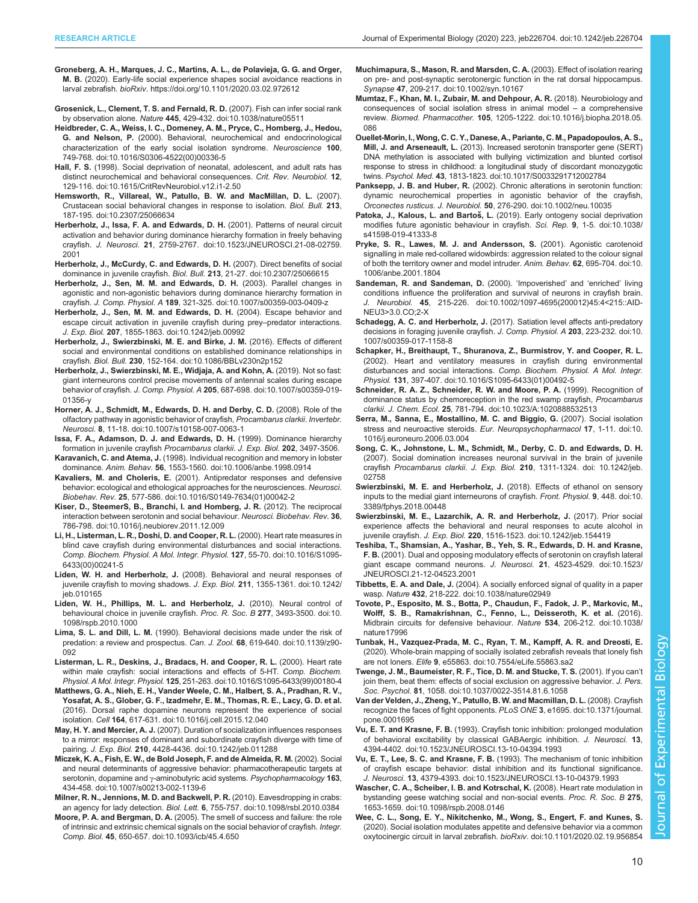- <span id="page-9-0"></span>[Groneberg, A. H., Marques, J. C., Martins, A. L., de Polavieja, G. G. and Orger,](https://doi.org/10.1101/2020.03.02.972612) M. B. [\(2020\). Early-life social experience shapes social avoidance reactions in](https://doi.org/10.1101/2020.03.02.972612) larval zebrafish. bioRxiv[. https://doi.org/10.1101/2020.03.02.972612](https://doi.org/10.1101/2020.03.02.972612)
- [Grosenick, L., Clement, T. S. and Fernald, R. D.](https://doi.org/10.1038/nature05511) (2007). Fish can infer social rank by observation alone. Nature 445[, 429-432. doi:10.1038/nature05511](https://doi.org/10.1038/nature05511)
- [Heidbreder, C. A., Weiss, I. C., Domeney, A. M., Pryce, C., Homberg, J., Hedou,](https://doi.org/10.1016/S0306-4522(00)00336-5) G. and Nelson, P. [\(2000\). Behavioral, neurochemical and endocrinological](https://doi.org/10.1016/S0306-4522(00)00336-5) [characterization of the early social isolation syndrome.](https://doi.org/10.1016/S0306-4522(00)00336-5) Neuroscience 100, [749-768. doi:10.1016/S0306-4522\(00\)00336-5](https://doi.org/10.1016/S0306-4522(00)00336-5)
- Hall, F. S. [\(1998\). Social deprivation of neonatal, adolescent, and adult rats has](https://doi.org/10.1615/CritRevNeurobiol.v12.i1-2.50) [distinct neurochemical and behavioral consequences.](https://doi.org/10.1615/CritRevNeurobiol.v12.i1-2.50) Crit. Rev. Neurobiol. 12, [129-116. doi:10.1615/CritRevNeurobiol.v12.i1-2.50](https://doi.org/10.1615/CritRevNeurobiol.v12.i1-2.50)
- [Hemsworth, R., Villareal, W., Patullo, B. W. and MacMillan, D. L.](https://doi.org/10.2307/25066634) (2007). [Crustacean social behavioral changes in response to isolation.](https://doi.org/10.2307/25066634) Biol. Bull. 213, [187-195. doi:10.2307/25066634](https://doi.org/10.2307/25066634)
- [Herberholz, J., Issa, F. A. and Edwards, D. H.](https://doi.org/10.1523/JNEUROSCI.21-08-02759.2001) (2001). Patterns of neural circuit [activation and behavior during dominance hierarchy formation in freely behaving](https://doi.org/10.1523/JNEUROSCI.21-08-02759.2001) crayfish. J. Neurosci. 21[, 2759-2767. doi:10.1523/JNEUROSCI.21-08-02759.](https://doi.org/10.1523/JNEUROSCI.21-08-02759.2001) [2001](https://doi.org/10.1523/JNEUROSCI.21-08-02759.2001)
- [Herberholz, J., McCurdy, C. and Edwards, D. H.](https://doi.org/10.2307/25066615) (2007). Direct benefits of social dominance in juvenile crayfish. Biol. Bull. 213[, 21-27. doi:10.2307/25066615](https://doi.org/10.2307/25066615)
- [Herberholz, J., Sen, M. M. and Edwards, D. H.](https://doi.org/10.1007/s00359-003-0409-z) (2003). Parallel changes in [agonistic and non-agonistic behaviors during dominance hierarchy formation in](https://doi.org/10.1007/s00359-003-0409-z) crayfish. J. Comp. Physiol. A 189[, 321-325. doi:10.1007/s00359-003-0409-z](https://doi.org/10.1007/s00359-003-0409-z)
- [Herberholz, J., Sen, M. M. and Edwards, D. H.](https://doi.org/10.1242/jeb.00992) (2004). Escape behavior and [escape circuit activation in juvenile crayfish during prey](https://doi.org/10.1242/jeb.00992)–predator interactions. J. Exp. Biol. 207[, 1855-1863. doi:10.1242/jeb.00992](https://doi.org/10.1242/jeb.00992)
- [Herberholz, J., Swierzbinski, M. E. and Birke, J. M.](https://doi.org/10.1086/BBLv230n2p152) (2016). Effects of different [social and environmental conditions on established dominance relationships in](https://doi.org/10.1086/BBLv230n2p152) crayfish. Biol. Bull. 230[, 152-164. doi:10.1086/BBLv230n2p152](https://doi.org/10.1086/BBLv230n2p152)
- [Herberholz, J., Swierzbinski, M. E., Widjaja, A. and Kohn, A.](https://doi.org/10.1007/s00359-019-01356-y) (2019). Not so fast: [giant interneurons control precise movements of antennal scales during escape](https://doi.org/10.1007/s00359-019-01356-y) behavior of crayfish. J. Comp. Physiol. A 205[, 687-698. doi:10.1007/s00359-019-](https://doi.org/10.1007/s00359-019-01356-y) [01356-y](https://doi.org/10.1007/s00359-019-01356-y)
- [Horner, A. J., Schmidt, M., Edwards, D. H. and Derby, C. D.](https://doi.org/10.1007/s10158-007-0063-1) (2008). Role of the [olfactory pathway in agonistic behavior of crayfish,](https://doi.org/10.1007/s10158-007-0063-1) Procambarus clarkii. Invertebr. Neurosci. 8[, 11-18. doi:10.1007/s10158-007-0063-1](https://doi.org/10.1007/s10158-007-0063-1)
- Issa, F. A., Adamson, D. J. and Edwards, D. H. (1999). Dominance hierarchy formation in juvenile crayfish Procambarus clarkii. J. Exp. Biol. 202, 3497-3506.
- Karavanich, C. and Atema, J. [\(1998\). Individual recognition and memory in lobster](https://doi.org/10.1006/anbe.1998.0914) dominance. Anim. Behav. 56[, 1553-1560. doi:10.1006/anbe.1998.0914](https://doi.org/10.1006/anbe.1998.0914)
- Kavaliers, M. and Choleris, E. [\(2001\). Antipredator responses and defensive](https://doi.org/10.1016/S0149-7634(01)00042-2) [behavior: ecological and ethological approaches for the neurosciences.](https://doi.org/10.1016/S0149-7634(01)00042-2) Neurosci. Biobehav. Rev. 25[, 577-586. doi:10.1016/S0149-7634\(01\)00042-2](https://doi.org/10.1016/S0149-7634(01)00042-2)
- [Kiser, D., SteemerS, B., Branchi, I. and Homberg, J. R.](https://doi.org/10.1016/j.neubiorev.2011.12.009) (2012). The reciprocal [interaction between serotonin and social behaviour.](https://doi.org/10.1016/j.neubiorev.2011.12.009) Neurosci. Biobehav. Rev. 36, [786-798. doi:10.1016/j.neubiorev.2011.12.009](https://doi.org/10.1016/j.neubiorev.2011.12.009)
- [Li, H., Listerman, L. R., Doshi, D. and Cooper, R. L.](https://doi.org/10.1016/S1095-6433(00)00241-5) (2000). Heart rate measures in [blind cave crayfish during environmental disturbances and social interactions.](https://doi.org/10.1016/S1095-6433(00)00241-5) [Comp. Biochem. Physiol. A Mol. Integr. Physiol.](https://doi.org/10.1016/S1095-6433(00)00241-5) 127, 55-70. doi:10.1016/S1095- [6433\(00\)00241-5](https://doi.org/10.1016/S1095-6433(00)00241-5)
- Liden, W. H. and Herberholz, J. [\(2008\). Behavioral and neural responses of](https://doi.org/10.1242/jeb.010165) [juvenile crayfish to moving shadows.](https://doi.org/10.1242/jeb.010165) J. Exp. Biol. 211, 1355-1361. doi:10.1242/ [jeb.010165](https://doi.org/10.1242/jeb.010165)
- [Liden, W. H., Phillips, M. L. and Herberholz, J.](https://doi.org/10.1098/rspb.2010.1000) (2010). Neural control of [behavioural choice in juvenile crayfish.](https://doi.org/10.1098/rspb.2010.1000) Proc. R. Soc. B 277, 3493-3500. doi:10. [1098/rspb.2010.1000](https://doi.org/10.1098/rspb.2010.1000)
- Lima, S. L. and Dill, L. M. [\(1990\). Behavioral decisions made under the risk of](https://doi.org/10.1139/z90-092) [predation: a review and prospectus.](https://doi.org/10.1139/z90-092) Can. J. Zool. 68, 619-640. doi:10.1139/z90-[092](https://doi.org/10.1139/z90-092)
- [Listerman, L. R., Deskins, J., Bradacs, H. and Cooper, R. L.](https://doi.org/10.1016/S1095-6433(99)00180-4) (2000). Heart rate [within male crayfish: social interactions and effects of 5-HT.](https://doi.org/10.1016/S1095-6433(99)00180-4) Comp. Biochem. Physiol. A Mol. Integr. Physiol. 125[, 251-263. doi:10.1016/S1095-6433\(99\)00180-4](https://doi.org/10.1016/S1095-6433(99)00180-4)
- [Matthews, G. A., Nieh, E. H., Vander Weele, C. M., Halbert, S. A., Pradhan, R. V.,](https://doi.org/10.1016/j.cell.2015.12.040) [Yosafat, A. S., Glober, G. F., Izadmehr, E. M., Thomas, R. E., Lacy, G. D. et al.](https://doi.org/10.1016/j.cell.2015.12.040) [\(2016\). Dorsal raphe dopamine neurons represent the experience of social](https://doi.org/10.1016/j.cell.2015.12.040) isolation. Cell 164[, 617-631. doi:10.1016/j.cell.2015.12.040](https://doi.org/10.1016/j.cell.2015.12.040)
- May, H. Y. and Mercier, A. J. [\(2007\). Duration of socialization influences responses](https://doi.org/10.1242/jeb.011288) [to a mirror: responses of dominant and subordinate crayfish diverge with time of](https://doi.org/10.1242/jeb.011288) pairing. J. Exp. Biol. 210[, 4428-4436. doi:10.1242/jeb.011288](https://doi.org/10.1242/jeb.011288)
- [Miczek, K. A., Fish, E. W., de Bold Joseph, F. and de Almeida, R. M.](https://doi.org/10.1007/s00213-002-1139-6) (2002). Social [and neural determinants of aggressive behavior: pharmacotherapeutic targets at](https://doi.org/10.1007/s00213-002-1139-6) serotonin, dopamine and γ[-aminobutyric acid systems.](https://doi.org/10.1007/s00213-002-1139-6) Psychopharmacology 163, [434-458. doi:10.1007/s00213-002-1139-6](https://doi.org/10.1007/s00213-002-1139-6)
- [Milner, R. N., Jennions, M. D. and Backwell, P. R.](https://doi.org/10.1098/rsbl.2010.0384) (2010). Eavesdropping in crabs: an agency for lady detection. Biol. Lett. 6[, 755-757. doi:10.1098/rsbl.2010.0384](https://doi.org/10.1098/rsbl.2010.0384)
- Moore, P. A. and Bergman, D. A. [\(2005\). The smell of success and failure: the role](https://doi.org/10.1093/icb/45.4.650) [of intrinsic and extrinsic chemical signals on the social behavior of crayfish.](https://doi.org/10.1093/icb/45.4.650) Integr. Comp. Biol. 45[, 650-657. doi:10.1093/icb/45.4.650](https://doi.org/10.1093/icb/45.4.650)
- [Muchimapura, S., Mason, R. and Marsden, C. A.](https://doi.org/10.1002/syn.10167) (2003). Effect of isolation rearing [on pre- and post-synaptic serotonergic function in the rat dorsal hippocampus.](https://doi.org/10.1002/syn.10167) Synapse 47[, 209-217. doi:10.1002/syn.10167](https://doi.org/10.1002/syn.10167)
- [Mumtaz, F., Khan, M. I., Zubair, M. and Dehpour, A. R.](https://doi.org/10.1016/j.biopha.2018.05.086) (2018). Neurobiology and [consequences of social isolation stress in animal model](https://doi.org/10.1016/j.biopha.2018.05.086) – a comprehensive review. Biomed. Pharmacother. 105[, 1205-1222. doi:10.1016/j.biopha.2018.05.](https://doi.org/10.1016/j.biopha.2018.05.086) [086](https://doi.org/10.1016/j.biopha.2018.05.086)
- [Ouellet-Morin, I., Wong, C. C. Y., Danese, A., Pariante, C. M., Papadopoulos, A. S.,](https://doi.org/10.1017/S0033291712002784) Mill, J. and Arseneault, L. [\(2013\). Increased serotonin transporter gene \(SERT\)](https://doi.org/10.1017/S0033291712002784) [DNA methylation is associated with bullying victimization and blunted cortisol](https://doi.org/10.1017/S0033291712002784) [response to stress in childhood: a longitudinal study of discordant monozygotic](https://doi.org/10.1017/S0033291712002784) twins. Psychol. Med. 43[, 1813-1823. doi:10.1017/S0033291712002784](https://doi.org/10.1017/S0033291712002784)
- Panksepp, J. B. and Huber, R. [\(2002\). Chronic alterations in serotonin function:](https://doi.org/10.1002/neu.10035) [dynamic neurochemical properties in agonistic behavior of the crayfish,](https://doi.org/10.1002/neu.10035) Orconectes rusticus. J. Neurobiol. 50[, 276-290. doi:10.1002/neu.10035](https://doi.org/10.1002/neu.10035)
- Patoka, J., Kalous, L. and Bartoš, L. [\(2019\). Early ontogeny social deprivation](https://doi.org/10.1038/s41598-019-41333-8) [modifies future agonistic behaviour in crayfish.](https://doi.org/10.1038/s41598-019-41333-8) Sci. Rep. 9, 1-5. doi:10.1038/ [s41598-019-41333-8](https://doi.org/10.1038/s41598-019-41333-8)
- [Pryke, S. R., Lawes, M. J. and Andersson, S.](https://doi.org/10.1006/anbe.2001.1804) (2001). Agonistic carotenoid [signalling in male red-collared widowbirds: aggression related to the colour signal](https://doi.org/10.1006/anbe.2001.1804) [of both the territory owner and model intruder.](https://doi.org/10.1006/anbe.2001.1804) Anim. Behav. 62, 695-704. doi:10. [1006/anbe.2001.1804](https://doi.org/10.1006/anbe.2001.1804)
- [Sandeman, R. and Sandeman, D.](https://doi.org/10.1002/1097-4695(200012)45:4%3C215::AID-NEU3%3E3.0.CO;2-X) (2000). 'Impoverished' and 'enriched' living [conditions influence the proliferation and survival of neurons in crayfish brain.](https://doi.org/10.1002/1097-4695(200012)45:4%3C215::AID-NEU3%3E3.0.CO;2-X) J. Neurobiol. 45[, 215-226. doi:10.1002/1097-4695\(200012\)45:4<215::AID-](https://doi.org/10.1002/1097-4695(200012)45:4%3C215::AID-NEU3%3E3.0.CO;2-X)[NEU3>3.0.CO;2-X](https://doi.org/10.1002/1097-4695(200012)45:4%3C215::AID-NEU3%3E3.0.CO;2-X)
- Schadegg, A. C. and Herberholz, J. [\(2017\). Satiation level affects anti-predatory](https://doi.org/10.1007/s00359-017-1158-8) [decisions in foraging juvenile crayfish.](https://doi.org/10.1007/s00359-017-1158-8) J. Comp. Physiol. A 203, 223-232. doi:10. [1007/s00359-017-1158-8](https://doi.org/10.1007/s00359-017-1158-8)
- [Schapker, H., Breithaupt, T., Shuranova, Z., Burmistrov, Y. and Cooper, R. L.](https://doi.org/10.1016/S1095-6433(01)00492-5) [\(2002\). Heart and ventilatory measures in crayfish during environmental](https://doi.org/10.1016/S1095-6433(01)00492-5) disturbances and social interactions. [Comp. Biochem. Physiol. A Mol. Integr.](https://doi.org/10.1016/S1095-6433(01)00492-5) Physiol. 131[, 397-407. doi:10.1016/S1095-6433\(01\)00492-5](https://doi.org/10.1016/S1095-6433(01)00492-5)
- [Schneider, R. A. Z., Schneider, R. W. and Moore, P. A.](https://doi.org/10.1023/A:1020888532513) (1999). Recognition of [dominance status by chemoreception in the red swamp crayfish,](https://doi.org/10.1023/A:1020888532513) Procambarus clarkii. J. Chem. Ecol. 25[, 781-794. doi:10.1023/A:1020888532513](https://doi.org/10.1023/A:1020888532513)
- [Serra, M., Sanna, E., Mostallino, M. C. and Biggio, G.](https://doi.org/10.1016/j.euroneuro.2006.03.004) (2007). Social isolation [stress and neuroactive steroids.](https://doi.org/10.1016/j.euroneuro.2006.03.004) Eur. Neuropsychopharmacol 17, 1-11. doi:10. [1016/j.euroneuro.2006.03.004](https://doi.org/10.1016/j.euroneuro.2006.03.004)
- [Song, C. K., Johnstone, L. M., Schmidt, M., Derby, C. D. and Edwards, D. H.](https://doi.org/ 10.1242/jeb.02758) [\(2007\). Social domination increases neuronal survival in the brain of juvenile](https://doi.org/ 10.1242/jeb.02758) crayfish Procambarus clarkii. J. Exp. Biol. 210[, 1311-1324. doi: 10.1242/jeb.](https://doi.org/ 10.1242/jeb.02758) [02758](https://doi.org/ 10.1242/jeb.02758)
- [Swierzbinski, M. E. and Herberholz, J.](https://doi.org/10.3389/fphys.2018.00448) (2018). Effects of ethanol on sensory [inputs to the medial giant interneurons of crayfish.](https://doi.org/10.3389/fphys.2018.00448) Front. Physiol. 9, 448. doi:10. [3389/fphys.2018.00448](https://doi.org/10.3389/fphys.2018.00448)
- [Swierzbinski, M. E., Lazarchik, A. R. and Herberholz, J.](https://doi.org/10.1242/jeb.154419) (2017). Prior social [experience affects the behavioral and neural responses to acute alcohol in](https://doi.org/10.1242/jeb.154419) juvenile crayfish. J. Exp. Biol. 220[, 1516-1523. doi:10.1242/jeb.154419](https://doi.org/10.1242/jeb.154419)
- [Teshiba, T., Shamsian, A., Yashar, B., Yeh, S. R., Edwards, D. H. and Krasne,](https://doi.org/10.1523/JNEUROSCI.21-12-04523.2001) F. B. [\(2001\). Dual and opposing modulatory effects of serotonin on crayfish lateral](https://doi.org/10.1523/JNEUROSCI.21-12-04523.2001) [giant escape command neurons.](https://doi.org/10.1523/JNEUROSCI.21-12-04523.2001) J. Neurosci. 21, 4523-4529. doi:10.1523/ [JNEUROSCI.21-12-04523.2001](https://doi.org/10.1523/JNEUROSCI.21-12-04523.2001)
- Tibbetts, E. A. and Dale, J. [\(2004\). A socially enforced signal of quality in a paper](https://doi.org/10.1038/nature02949) wasp. Nature 432[, 218-222. doi:10.1038/nature02949](https://doi.org/10.1038/nature02949)
- [Tovote, P., Esposito, M. S., Botta, P., Chaudun, F., Fadok, J. P., Markovic, M.,](https://doi.org/10.1038/nature17996) [Wolff, S. B., Ramakrishnan, C., Fenno, L., Deisseroth, K. et al.](https://doi.org/10.1038/nature17996) (2016). [Midbrain circuits for defensive behaviour.](https://doi.org/10.1038/nature17996) Nature 534, 206-212. doi:10.1038/ [nature17996](https://doi.org/10.1038/nature17996)
- [Tunbak, H., Vazquez-Prada, M. C., Ryan, T. M., Kampff, A. R. and Dreosti, E.](https://doi.org/10.7554/eLife.55863.sa2) [\(2020\). Whole-brain mapping of socially isolated zebrafish reveals that lonely fish](https://doi.org/10.7554/eLife.55863.sa2) are not loners. Elife 9[, e55863. doi:10.7554/eLife.55863.sa2](https://doi.org/10.7554/eLife.55863.sa2)
- [Twenge, J. M., Baumeister, R. F., Tice, D. M. and Stucke, T. S.](https://doi.org/10.1037/0022-3514.81.6.1058) (2001). If you can't [join them, beat them: effects of social exclusion on aggressive behavior.](https://doi.org/10.1037/0022-3514.81.6.1058) J. Pers. Soc. Psychol. 81[, 1058. doi:10.1037/0022-3514.81.6.1058](https://doi.org/10.1037/0022-3514.81.6.1058)
- [Van der Velden, J., Zheng, Y., Patullo, B. W. and Macmillan, D. L.](https://doi.org/10.1371/journal.pone.0001695) (2008). Crayfish [recognize the faces of fight opponents.](https://doi.org/10.1371/journal.pone.0001695) PLoS ONE 3, e1695. doi:10.1371/journal. [pone.0001695](https://doi.org/10.1371/journal.pone.0001695)
- Vu, E. T. and Krasne, F. B. [\(1993\). Crayfish tonic inhibition: prolonged modulation](https://doi.org/10.1523/JNEUROSCI.13-10-04394.1993) [of behavioral excitability by classical GABAergic inhibition.](https://doi.org/10.1523/JNEUROSCI.13-10-04394.1993) J. Neurosci. 13, [4394-4402. doi:10.1523/JNEUROSCI.13-10-04394.1993](https://doi.org/10.1523/JNEUROSCI.13-10-04394.1993)
- Vu, E. T., Lee, S. C. and Krasne, F. B. [\(1993\). The mechanism of tonic inhibition](https://doi.org/0.1523/JNEUROSCI.13-10-04379.1993) [of crayfish escape behavior: distal inhibition and its functional significance.](https://doi.org/0.1523/JNEUROSCI.13-10-04379.1993) J. Neurosci. 13[, 4379-4393. doi:10.1523/JNEUROSCI.13-10-04379.1993](https://doi.org/0.1523/JNEUROSCI.13-10-04379.1993)
- [Wascher, C. A., Scheiber, I. B. and Kotrschal, K.](https://doi.org/10.1098/rspb.2008.0146) (2008). Heart rate modulation in [bystanding geese watching social and non-social events.](https://doi.org/10.1098/rspb.2008.0146) Proc. R. Soc. B 275, [1653-1659. doi:10.1098/rspb.2008.0146](https://doi.org/10.1098/rspb.2008.0146)
- [Wee, C. L., Song, E. Y., Nikitchenko, M., Wong, S., Engert, F. and Kunes, S.](https://doi.org/10.1101/2020.02.19.956854) [\(2020\). Social isolation modulates appetite and defensive behavior via a common](https://doi.org/10.1101/2020.02.19.956854) [oxytocinergic circuit in larval zebrafish.](https://doi.org/10.1101/2020.02.19.956854) bioRxiv. doi:10.1101/2020.02.19.956854

Biology